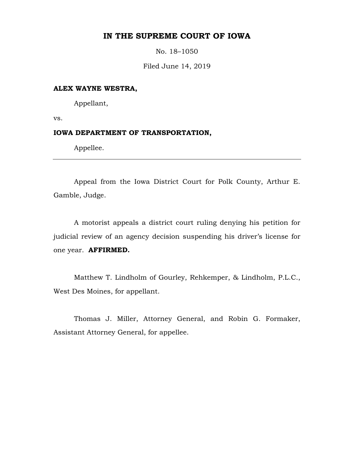# **IN THE SUPREME COURT OF IOWA**

No. 18–1050

Filed June 14, 2019

### **ALEX WAYNE WESTRA,**

Appellant,

vs.

## **IOWA DEPARTMENT OF TRANSPORTATION,**

Appellee.

Appeal from the Iowa District Court for Polk County, Arthur E. Gamble, Judge.

A motorist appeals a district court ruling denying his petition for judicial review of an agency decision suspending his driver's license for one year. **AFFIRMED.**

Matthew T. Lindholm of Gourley, Rehkemper, & Lindholm, P.L.C., West Des Moines, for appellant.

Thomas J. Miller, Attorney General, and Robin G. Formaker, Assistant Attorney General, for appellee.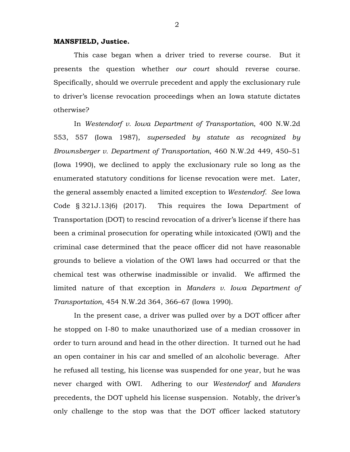### **MANSFIELD, Justice.**

This case began when a driver tried to reverse course. But it presents the question whether *our court* should reverse course. Specifically, should we overrule precedent and apply the exclusionary rule to driver's license revocation proceedings when an Iowa statute dictates otherwise?

In *Westendorf v. Iowa Department of Transportation*, 400 N.W.2d 553, 557 (Iowa 1987), *superseded by statute as recognized by Brownsberger v. Department of Transportation*, 460 N.W.2d 449, 450–51 (Iowa 1990), we declined to apply the exclusionary rule so long as the enumerated statutory conditions for license revocation were met. Later, the general assembly enacted a limited exception to *Westendorf*. *See* Iowa Code § 321J.13(6) (2017). This requires the Iowa Department of Transportation (DOT) to rescind revocation of a driver's license if there has been a criminal prosecution for operating while intoxicated (OWI) and the criminal case determined that the peace officer did not have reasonable grounds to believe a violation of the OWI laws had occurred or that the chemical test was otherwise inadmissible or invalid. We affirmed the limited nature of that exception in *Manders v. Iowa Department of Transportation*, 454 N.W.2d 364, 366–67 (Iowa 1990).

In the present case, a driver was pulled over by a DOT officer after he stopped on I-80 to make unauthorized use of a median crossover in order to turn around and head in the other direction. It turned out he had an open container in his car and smelled of an alcoholic beverage. After he refused all testing, his license was suspended for one year, but he was never charged with OWI. Adhering to our *Westendorf* and *Manders* precedents, the DOT upheld his license suspension. Notably, the driver's only challenge to the stop was that the DOT officer lacked statutory

2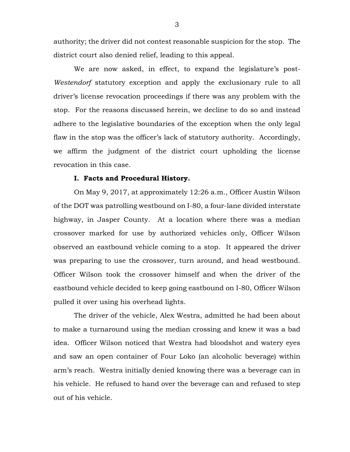authority; the driver did not contest reasonable suspicion for the stop. The district court also denied relief, leading to this appeal.

We are now asked, in effect, to expand the legislature's post-*Westendorf* statutory exception and apply the exclusionary rule to all driver's license revocation proceedings if there was any problem with the stop. For the reasons discussed herein, we decline to do so and instead adhere to the legislative boundaries of the exception when the only legal flaw in the stop was the officer's lack of statutory authority. Accordingly, we affirm the judgment of the district court upholding the license revocation in this case.

### **I. Facts and Procedural History.**

On May 9, 2017, at approximately 12:26 a.m., Officer Austin Wilson of the DOT was patrolling westbound on I-80, a four-lane divided interstate highway, in Jasper County. At a location where there was a median crossover marked for use by authorized vehicles only, Officer Wilson observed an eastbound vehicle coming to a stop. It appeared the driver was preparing to use the crossover, turn around, and head westbound. Officer Wilson took the crossover himself and when the driver of the eastbound vehicle decided to keep going eastbound on I-80, Officer Wilson pulled it over using his overhead lights.

The driver of the vehicle, Alex Westra, admitted he had been about to make a turnaround using the median crossing and knew it was a bad idea. Officer Wilson noticed that Westra had bloodshot and watery eyes and saw an open container of Four Loko (an alcoholic beverage) within arm's reach. Westra initially denied knowing there was a beverage can in his vehicle. He refused to hand over the beverage can and refused to step out of his vehicle.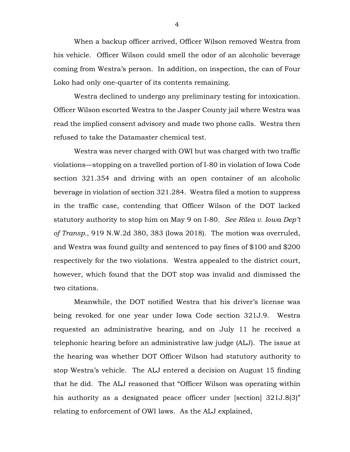When a backup officer arrived, Officer Wilson removed Westra from his vehicle. Officer Wilson could smell the odor of an alcoholic beverage coming from Westra's person. In addition, on inspection, the can of Four Loko had only one-quarter of its contents remaining.

Westra declined to undergo any preliminary testing for intoxication. Officer Wilson escorted Westra to the Jasper County jail where Westra was read the implied consent advisory and made two phone calls. Westra then refused to take the Datamaster chemical test.

Westra was never charged with OWI but was charged with two traffic violations—stopping on a travelled portion of I-80 in violation of Iowa Code section 321.354 and driving with an open container of an alcoholic beverage in violation of section 321.284. Westra filed a motion to suppress in the traffic case, contending that Officer Wilson of the DOT lacked statutory authority to stop him on May 9 on I-80. *[See Rilea v. Iowa](https://1.next.westlaw.com/Link/Document/FullText?findType=Y&serNum=2045804174&pubNum=0000999&originatingDoc=I7089d340d3a711e8a1b0e6625e646f8f&refType=RP&originationContext=document&transitionType=DocumentItem&contextData=(sc.Search)) Dep't of Transp.*[, 919 N.W.2d 380,](https://1.next.westlaw.com/Link/Document/FullText?findType=Y&serNum=2045804174&pubNum=0000999&originatingDoc=I7089d340d3a711e8a1b0e6625e646f8f&refType=RP&originationContext=document&transitionType=DocumentItem&contextData=(sc.Search)) 383 (Iowa 2018). The motion was overruled, and Westra was found guilty and sentenced to pay fines of \$100 and \$200 respectively for the two violations. Westra appealed to the district court, however, which found that the DOT stop was invalid and dismissed the two citations.

Meanwhile, the DOT notified Westra that his driver's license was being revoked for one year under Iowa Code section 321J.9. Westra requested an administrative hearing, and on July 11 he received a telephonic hearing before an administrative law judge (ALJ). The issue at the hearing was whether DOT Officer Wilson had statutory authority to stop Westra's vehicle. The ALJ entered a decision on August 15 finding that he did. The ALJ reasoned that "Officer Wilson was operating within his authority as a designated peace officer under [section] 321J.8(3)" relating to enforcement of OWI laws. As the ALJ explained,

4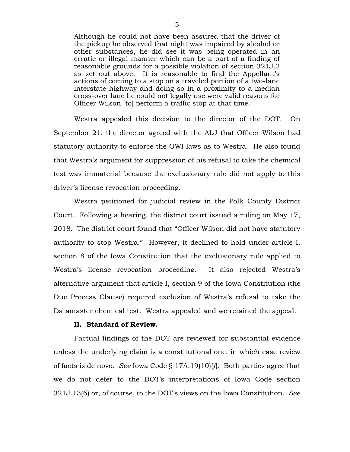Although he could not have been assured that the driver of the pickup he observed that night was impaired by alcohol or other substances, he did see it was being operated in an erratic or illegal manner which can be a part of a finding of reasonable grounds for a possible violation of section 321J.2 as set out above. It is reasonable to find the Appellant's actions of coming to a stop on a traveled portion of a two-lane interstate highway and doing so in a proximity to a median cross-over lane he could not legally use were valid reasons for Officer Wilson [to] perform a traffic stop at that time.

Westra appealed this decision to the director of the DOT. On September 21, the director agreed with the ALJ that Officer Wilson had statutory authority to enforce the OWI laws as to Westra. He also found that Westra's argument for suppression of his refusal to take the chemical test was immaterial because the exclusionary rule did not apply to this driver's license revocation proceeding.

Westra petitioned for judicial review in the Polk County District Court. Following a hearing, the district court issued a ruling on May 17, 2018. The district court found that "Officer Wilson did not have statutory authority to stop Westra." However, it declined to hold under article I, section 8 of the Iowa Constitution that the exclusionary rule applied to Westra's license revocation proceeding. It also rejected Westra's alternative argument that article I, section 9 of the Iowa Constitution (the Due Process Clause) required exclusion of Westra's refusal to take the Datamaster chemical test. Westra appealed and we retained the appeal.

#### **II. Standard of Review.**

Factual findings of the DOT are reviewed for substantial evidence unless the underlying claim is a constitutional one, in which case review of facts is de novo. *See* Iowa Code § 17A.19(10)(*f*). Both parties agree that we do not defer to the DOT's interpretations of Iowa Code section 321J.13(6) or, of course, to the DOT's views on the Iowa Constitution. *See*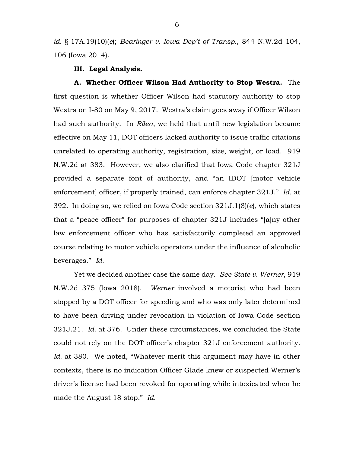*id.* § 17A.19(10)(*c*); *Bearinger v. Iowa Dep't of Transp.*, 844 N.W.2d 104, 106 (Iowa 2014).

#### **III. Legal Analysis.**

**A. Whether Officer Wilson Had Authority to Stop Westra.** The first question is whether Officer Wilson had statutory authority to stop Westra on I-80 on May 9, 2017. Westra's claim goes away if Officer Wilson had such authority. In *Rilea*, we held that until new legislation became effective on May 11, DOT officers lacked authority to issue traffic citations unrelated to operating authority, registration, size, weight, or load. 919 N.W.2d at 383. However, we also clarified that Iowa Code chapter 321J provided a separate font of authority, and "an IDOT [motor vehicle enforcement] officer, if properly trained, can enforce chapter 321J." *Id.* at 392. In doing so, we relied on Iowa Code section 321J.1(8)(*e*), which states that a "peace officer" for purposes of chapter 321J includes "[a]ny other law enforcement officer who has satisfactorily completed an approved course relating to motor vehicle operators under the influence of alcoholic beverages." *Id.*

Yet we decided another case the same day. *See State v. Werner*, 919 N.W.2d 375 (Iowa 2018). *Werner* involved a motorist who had been stopped by a DOT officer for speeding and who was only later determined to have been driving under revocation in violation of Iowa Code section 321J.21. *Id.* at 376. Under these circumstances, we concluded the State could not rely on the DOT officer's chapter 321J enforcement authority. *Id.* at 380. We noted, "Whatever merit this argument may have in other contexts, there is no indication Officer Glade knew or suspected Werner's driver's license had been revoked for operating while intoxicated when he made the August 18 stop." *Id.*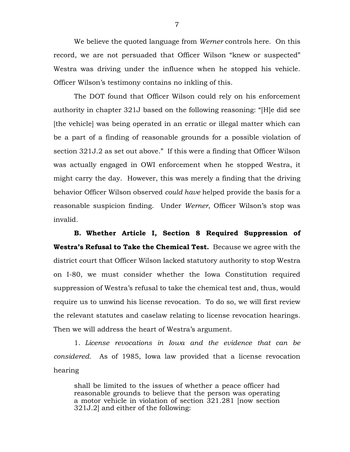We believe the quoted language from *Werner* controls here. On this record, we are not persuaded that Officer Wilson "knew or suspected" Westra was driving under the influence when he stopped his vehicle. Officer Wilson's testimony contains no inkling of this.

The DOT found that Officer Wilson could rely on his enforcement authority in chapter 321J based on the following reasoning: "[H]e did see [the vehicle] was being operated in an erratic or illegal matter which can be a part of a finding of reasonable grounds for a possible violation of section 321J.2 as set out above." If this were a finding that Officer Wilson was actually engaged in OWI enforcement when he stopped Westra, it might carry the day. However, this was merely a finding that the driving behavior Officer Wilson observed *could have* helped provide the basis for a reasonable suspicion finding. Under *Werner*, Officer Wilson's stop was invalid.

**B. Whether Article I, Section 8 Required Suppression of Westra's Refusal to Take the Chemical Test.** Because we agree with the district court that Officer Wilson lacked statutory authority to stop Westra on I-80, we must consider whether the Iowa Constitution required suppression of Westra's refusal to take the chemical test and, thus, would require us to unwind his license revocation. To do so, we will first review the relevant statutes and caselaw relating to license revocation hearings. Then we will address the heart of Westra's argument.

1. *License revocations in Iowa and the evidence that can be considered.* As of 1985, Iowa law provided that a license revocation hearing

shall be limited to the issues of whether a peace officer had reasonable grounds to believe that the person was operating a motor vehicle in violation of section 321.281 [now section 321J.2] and either of the following: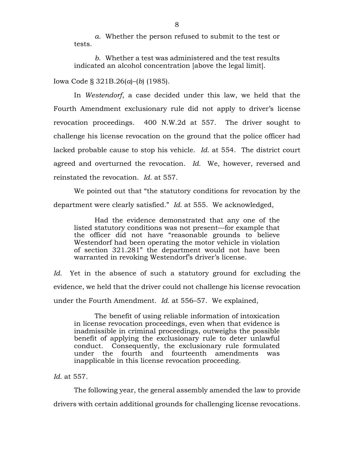*a*. Whether the person refused to submit to the test or tests.

*b*. Whether a test was administered and the test results indicated an alcohol concentration [above the legal limit].

Iowa Code § 321B.26(*a*)–(*b*) (1985).

In *Westendorf*, a case decided under this law, we held that the Fourth Amendment exclusionary rule did not apply to driver's license revocation proceedings. 400 N.W.2d at 557. The driver sought to challenge his license revocation on the ground that the police officer had lacked probable cause to stop his vehicle. *Id.* at 554. The district court agreed and overturned the revocation. *Id.* We, however, reversed and reinstated the revocation. *Id.* at 557.

We pointed out that "the statutory conditions for revocation by the department were clearly satisfied." *Id.* at 555. We acknowledged,

Had the evidence demonstrated that any one of the listed statutory conditions was not present—for example that the officer did not have "reasonable grounds to believe Westendorf had been operating the motor vehicle in violation of section 321.281" the department would not have been warranted in revoking Westendorf's driver's license.

*Id.* Yet in the absence of such a statutory ground for excluding the evidence, we held that the driver could not challenge his license revocation under the Fourth Amendment. *Id.* at 556–57. We explained,

The benefit of using reliable information of intoxication in license revocation proceedings, even when that evidence is inadmissible in criminal proceedings, outweighs the possible benefit of applying the exclusionary rule to deter unlawful conduct. Consequently, the exclusionary rule formulated under the fourth and fourteenth amendments was inapplicable in this license revocation proceeding.

# *Id.* at 557.

The following year, the general assembly amended the law to provide drivers with certain additional grounds for challenging license revocations.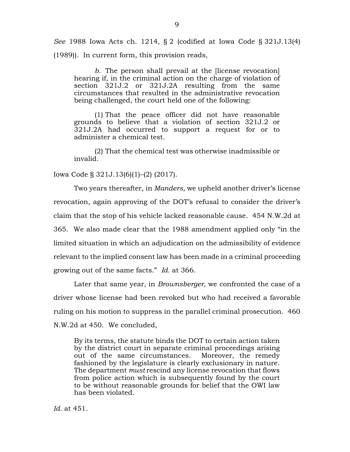*See* 1988 Iowa Acts ch. 1214, § 2 (codified at Iowa Code § 321J.13(4) (1989)). In current form, this provision reads,

*b*. The person shall prevail at the [license revocation] hearing if, in the criminal action on the charge of violation of [section 321J.2](https://1.next.westlaw.com/Link/Document/FullText?findType=L&pubNum=1000256&cite=IASTS321J.2&originatingDoc=ND98969A05AB211E89E73AA5118781479&refType=LQ&originationContext=document&transitionType=DocumentItem&contextData=(sc.UserEnteredCitation)) or [321J.2A](https://1.next.westlaw.com/Link/Document/FullText?findType=L&pubNum=1000256&cite=IASTS321J.2A&originatingDoc=ND98969A05AB211E89E73AA5118781479&refType=LQ&originationContext=document&transitionType=DocumentItem&contextData=(sc.UserEnteredCitation)) resulting from the same circumstances that resulted in the administrative revocation being challenged, the court held one of the following:

(1) That the peace officer did not have reasonable grounds to believe that a violation of [section 321J.2](https://1.next.westlaw.com/Link/Document/FullText?findType=L&pubNum=1000256&cite=IASTS321J.2&originatingDoc=ND98969A05AB211E89E73AA5118781479&refType=LQ&originationContext=document&transitionType=DocumentItem&contextData=(sc.UserEnteredCitation)) or [321J.2A](https://1.next.westlaw.com/Link/Document/FullText?findType=L&pubNum=1000256&cite=IASTS321J.2A&originatingDoc=ND98969A05AB211E89E73AA5118781479&refType=LQ&originationContext=document&transitionType=DocumentItem&contextData=(sc.UserEnteredCitation)) had occurred to support a request for or to administer a chemical test.

(2) That the chemical test was otherwise inadmissible or invalid.

Iowa Code § 321J.13(6)(1)–(2) (2017).

Two years thereafter, in *Manders*, we upheld another driver's license revocation, again approving of the DOT's refusal to consider the driver's claim that the stop of his vehicle lacked reasonable cause. 454 N.W.2d at 365. We also made clear that the 1988 amendment applied only "in the limited situation in which an adjudication on the admissibility of evidence relevant to the implied consent law has been made in a criminal proceeding growing out of the same facts." *Id.* at 366.

Later that same year, in *Brownsberger*, we confronted the case of a driver whose license had been revoked but who had received a favorable ruling on his motion to suppress in the parallel criminal prosecution. 460 N.W.2d at 450. We concluded,

By its terms, the statute binds the DOT to certain action taken by the district court in separate criminal proceedings arising out of the same circumstances. Moreover, the remedy fashioned by the legislature is clearly exclusionary in nature. The department *must* rescind any license revocation that flows from police action which is subsequently found by the court to be without reasonable grounds for belief that the OWI law has been violated.

*Id.* at 451.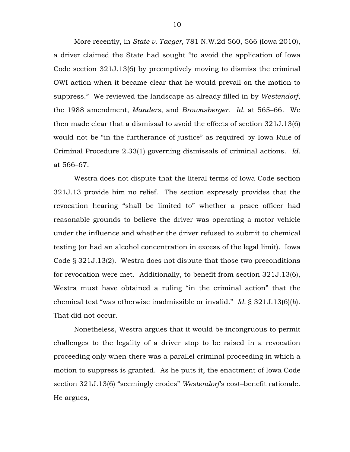More recently, in *State v. Taeger*, 781 N.W.2d 560, 566 (Iowa 2010), a driver claimed the State had sought "to avoid the application of Iowa Code section 321J.13(6) by preemptively moving to dismiss the criminal OWI action when it became clear that he would prevail on the motion to suppress." We reviewed the landscape as already filled in by *Westendorf*, the 1988 amendment, *Manders*, and *Brownsberger*. *Id.* at 565–66. We then made clear that a dismissal to avoid the effects of section 321J.13(6) would not be "in the furtherance of justice" as required by Iowa Rule of Criminal Procedure 2.33(1) governing dismissals of criminal actions. *Id.* at 566–67.

Westra does not dispute that the literal terms of Iowa Code section 321J.13 provide him no relief. The section expressly provides that the revocation hearing "shall be limited to" whether a peace officer had reasonable grounds to believe the driver was operating a motor vehicle under the influence and whether the driver refused to submit to chemical testing (or had an alcohol concentration in excess of the legal limit). Iowa Code § 321J.13(2). Westra does not dispute that those two preconditions for revocation were met. Additionally, to benefit from section 321J.13(6), Westra must have obtained a ruling "in the criminal action" that the chemical test "was otherwise inadmissible or invalid." *Id.* § 321J.13(6)(*b*). That did not occur.

Nonetheless, Westra argues that it would be incongruous to permit challenges to the legality of a driver stop to be raised in a revocation proceeding only when there was a parallel criminal proceeding in which a motion to suppress is granted. As he puts it, the enactment of Iowa Code section 321J.13(6) "seemingly erodes" *Westendorf*'s cost–benefit rationale. He argues,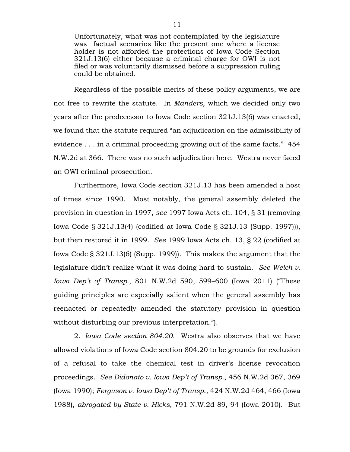Unfortunately, what was not contemplated by the legislature was factual scenarios like the present one where a license holder is not afforded the protections of Iowa Code Section 321J.13(6) either because a criminal charge for OWI is not filed or was voluntarily dismissed before a suppression ruling could be obtained.

Regardless of the possible merits of these policy arguments, we are not free to rewrite the statute. In *Manders*, which we decided only two years after the predecessor to Iowa Code section 321J.13(6) was enacted, we found that the statute required "an adjudication on the admissibility of evidence . . . in a criminal proceeding growing out of the same facts." 454 N.W.2d at 366. There was no such adjudication here. Westra never faced an OWI criminal prosecution.

Furthermore, Iowa Code section 321J.13 has been amended a host of times since 1990. Most notably, the general assembly deleted the provision in question in 1997, *see* 1997 Iowa Acts ch. 104, § 31 (removing Iowa Code § 321J.13(4) (codified at Iowa Code § 321J.13 (Supp. 1997))), but then restored it in 1999. *See* 1999 Iowa Acts ch. 13, § 22 (codified at Iowa Code § 321J.13(6) (Supp. 1999)). This makes the argument that the legislature didn't realize what it was doing hard to sustain. *See Welch v. Iowa Dep't of Transp.*, 801 N.W.2d 590, 599–600 (Iowa 2011) ("These guiding principles are especially salient when the general assembly has reenacted or repeatedly amended the statutory provision in question without disturbing our previous interpretation.").

2. *Iowa Code section 804.20.* Westra also observes that we have allowed violations of Iowa Code section 804.20 to be grounds for exclusion of a refusal to take the chemical test in driver's license revocation proceedings. *See Didonato v. Iowa Dep't of Transp.*, 456 N.W.2d 367, 369 (Iowa 1990); *Ferguson v. Iowa Dep't of Transp*., 424 N.W.2d 464, 466 (Iowa 1988), *abrogated by State v. Hicks*, 791 N.W.2d 89, 94 (Iowa 2010). But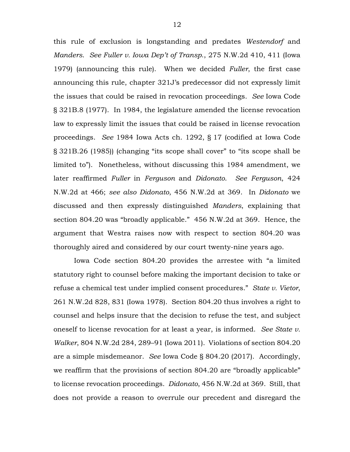this rule of exclusion is longstanding and predates *Westendorf* and *Manders*. *See Fuller v. Iowa Dep't of Transp*., 275 N.W.2d 410, 411 (Iowa 1979) (announcing this rule). When we decided *Fuller*, the first case announcing this rule, chapter 321J's predecessor did not expressly limit the issues that could be raised in revocation proceedings. *See* Iowa Code § 321B.8 (1977). In 1984, the legislature amended the license revocation law to expressly limit the issues that could be raised in license revocation proceedings. *See* 1984 Iowa Acts ch. 1292, § 17 (codified at Iowa Code § 321B.26 (1985)) (changing "its scope shall cover" to "its scope shall be limited to"). Nonetheless, without discussing this 1984 amendment, we later reaffirmed *Fuller* in *Ferguson* and *Didonato*. *See Ferguson*, 424 N.W.2d at 466; *see also Didonato*, 456 N.W.2d at 369. In *Didonato* we discussed and then expressly distinguished *Manders*, explaining that section 804.20 was "broadly applicable." 456 N.W.2d at 369. Hence, the argument that Westra raises now with respect to section 804.20 was thoroughly aired and considered by our court twenty-nine years ago.

Iowa Code section 804.20 provides the arrestee with "a limited statutory right to counsel before making the important decision to take or refuse a chemical test under implied consent procedures." *State v. Vietor*, 261 N.W.2d 828, 831 (Iowa 1978). Section 804.20 thus involves a right to counsel and helps insure that the decision to refuse the test, and subject oneself to license revocation for at least a year, is informed. *See State v. Walker*, 804 N.W.2d 284, 289–91 (Iowa 2011). Violations of section 804.20 are a simple misdemeanor. *See* Iowa Code § 804.20 (2017). Accordingly, we reaffirm that the provisions of section 804.20 are "broadly applicable" to license revocation proceedings. *Didonato*, 456 N.W.2d at 369. Still, that does not provide a reason to overrule our precedent and disregard the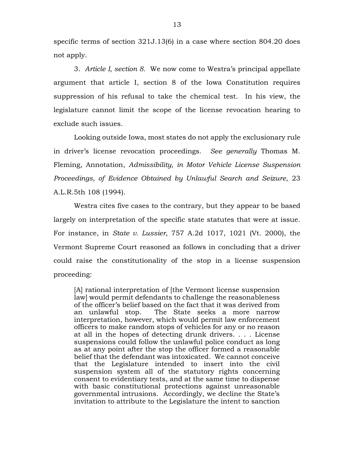specific terms of section 321J.13(6) in a case where section 804.20 does not apply.

3. *Article I, section 8.* We now come to Westra's principal appellate argument that article I, section 8 of the Iowa Constitution requires suppression of his refusal to take the chemical test. In his view, the legislature cannot limit the scope of the license revocation hearing to exclude such issues.

Looking outside Iowa, most states do not apply the exclusionary rule in driver's license revocation proceedings. *See generally* Thomas M. Fleming, Annotation, *Admissibility, in Motor Vehicle License Suspension Proceedings, of Evidence Obtained by Unlawful Search and Seizure*, 23 A.L.R.5th 108 (1994).

Westra cites five cases to the contrary, but they appear to be based largely on interpretation of the specific state statutes that were at issue. For instance, in *State v. Lussier*, 757 A.2d 1017, 1021 (Vt. 2000), the Vermont Supreme Court reasoned as follows in concluding that a driver could raise the constitutionality of the stop in a license suspension proceeding:

[A] rational interpretation of [the Vermont license suspension law] would permit defendants to challenge the reasonableness of the officer's belief based on the fact that it was derived from an unlawful stop. The State seeks a more narrow interpretation, however, which would permit law enforcement officers to make random stops of vehicles for any or no reason at all in the hopes of detecting drunk drivers. . . . License suspensions could follow the unlawful police conduct as long as at any point after the stop the officer formed a reasonable belief that the defendant was intoxicated. We cannot conceive that the Legislature intended to insert into the civil suspension system all of the statutory rights concerning consent to evidentiary tests, and at the same time to dispense with basic constitutional protections against unreasonable governmental intrusions. Accordingly, we decline the State's invitation to attribute to the Legislature the intent to sanction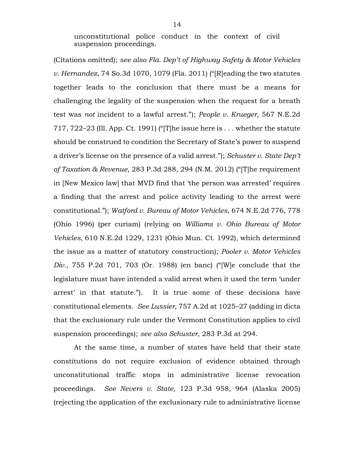unconstitutional police conduct in the context of civil suspension proceedings.

(Citations omitted); *see also Fla. Dep't of Highway Safety & Motor Vehicles v. Hernandez*, 74 So.3d 1070, 1079 (Fla. 2011) ("[R]eading the two statutes together leads to the conclusion that there must be a means for challenging the legality of the suspension when the request for a breath test was *not* incident to a lawful arrest."); *People v. Krueger*, 567 N.E.2d 717, 722–23 (Ill. App. Ct. 1991) ("[T]he issue here is . . . whether the statute should be construed to condition the Secretary of State's power to suspend a driver's license on the presence of a valid arrest."); *Schuster v. State Dep't of Taxation & Revenue*, 283 P.3d 288, 294 (N.M. 2012) ("[T]he requirement in [New Mexico law] that MVD find that 'the person was arrested' requires a finding that the arrest and police activity leading to the arrest were constitutional."); *Watford v. Bureau of Motor Vehicles*, 674 N.E.2d 776, 778 (Ohio 1996) (per curiam) (relying on *Williams v. Ohio Bureau of Motor Vehicles*, 610 N.E.2d 1229, 1231 (Ohio Mun. Ct. 1992), which determined the issue as a matter of statutory construction); *Pooler v. Motor Vehicles Div.*, 755 P.2d 701, 703 (Or. 1988) (en banc) ("[W]e conclude that the legislature must have intended a valid arrest when it used the term 'under arrest' in that statute."). It is true some of these decisions have constitutional elements. *See Lussier*, 757 A.2d at 1025–27 (adding in dicta that the exclusionary rule under the Vermont Constitution applies to civil suspension proceedings); *see also Schuster*, 283 P.3d at 294.

At the same time, a number of states have held that their state constitutions do not require exclusion of evidence obtained through unconstitutional traffic stops in administrative license revocation proceedings. *See Nevers v. State*, 123 P.3d 958, 964 (Alaska 2005) (rejecting the application of the exclusionary rule to administrative license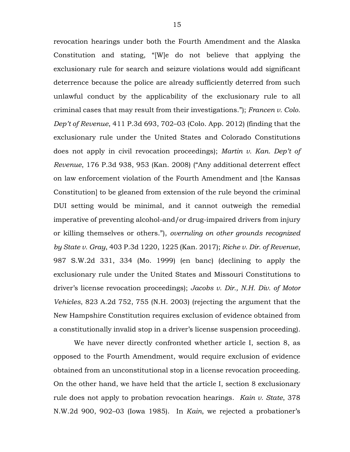revocation hearings under both the Fourth Amendment and the Alaska Constitution and stating, "[W]e do not believe that applying the exclusionary rule for search and seizure violations would add significant deterrence because the police are already sufficiently deterred from such unlawful conduct by the applicability of the exclusionary rule to all criminal cases that may result from their investigations."); *Francen v. Colo. Dep't of Revenue*, 411 P.3d 693, 702–03 (Colo. App. 2012) (finding that the exclusionary rule under the United States and Colorado Constitutions does not apply in civil revocation proceedings); *Martin v. Kan. Dep't of Revenue*, 176 P.3d 938, 953 (Kan. 2008) ("Any additional deterrent effect on law enforcement violation of the Fourth Amendment and [the Kansas Constitution] to be gleaned from extension of the rule beyond the criminal DUI setting would be minimal, and it cannot outweigh the remedial imperative of preventing alcohol-and/or drug-impaired drivers from injury or killing themselves or others."), *overruling on other grounds recognized by State v. Gray*, 403 P.3d 1220, 1225 (Kan. 2017); *Riche v. Dir. of Revenue*, 987 S.W.2d 331, 334 (Mo. 1999) (en banc) (declining to apply the exclusionary rule under the United States and Missouri Constitutions to driver's license revocation proceedings); *Jacobs v. Dir., N.H. Div. of Motor Vehicles*, 823 A.2d 752, 755 (N.H. 2003) (rejecting the argument that the New Hampshire Constitution requires exclusion of evidence obtained from a constitutionally invalid stop in a driver's license suspension proceeding).

We have never directly confronted whether article I, section 8, as opposed to the Fourth Amendment, would require exclusion of evidence obtained from an unconstitutional stop in a license revocation proceeding. On the other hand, we have held that the article I, section 8 exclusionary rule does not apply to probation revocation hearings. *Kain v. State*, 378 N.W.2d 900, 902–03 (Iowa 1985). In *Kain*, we rejected a probationer's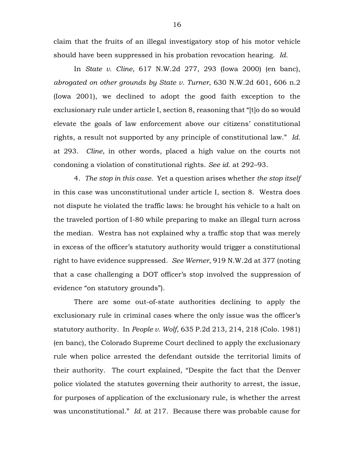claim that the fruits of an illegal investigatory stop of his motor vehicle should have been suppressed in his probation revocation hearing. *Id.*

In *State v. Cline*, 617 N.W.2d 277, 293 (Iowa 2000) (en banc), *abrogated on other grounds by State v. Turner*, 630 N.W.2d 601, 606 n.2 (Iowa 2001), we declined to adopt the good faith exception to the exclusionary rule under article I, section 8, reasoning that "[t]o do so would elevate the goals of law enforcement above our citizens' constitutional rights, a result not supported by any principle of constitutional law." *Id.* at 293. *Cline*, in other words, placed a high value on the courts not condoning a violation of constitutional rights. *See id.* at 292–93.

4. *The stop in this case.* Yet a question arises whether *the stop itself* in this case was unconstitutional under article I, section 8. Westra does not dispute he violated the traffic laws: he brought his vehicle to a halt on the traveled portion of I-80 while preparing to make an illegal turn across the median. Westra has not explained why a traffic stop that was merely in excess of the officer's statutory authority would trigger a constitutional right to have evidence suppressed. *See Werner*, 919 N.W.2d at 377 (noting that a case challenging a DOT officer's stop involved the suppression of evidence "on statutory grounds").

There are some out-of-state authorities declining to apply the exclusionary rule in criminal cases where the only issue was the officer's statutory authority. In *People v. Wolf*, 635 P.2d 213, 214, 218 (Colo. 1981) (en banc), the Colorado Supreme Court declined to apply the exclusionary rule when police arrested the defendant outside the territorial limits of their authority. The court explained, "Despite the fact that the Denver police violated the statutes governing their authority to arrest, the issue, for purposes of application of the exclusionary rule, is whether the arrest was unconstitutional." *Id.* at 217. Because there was probable cause for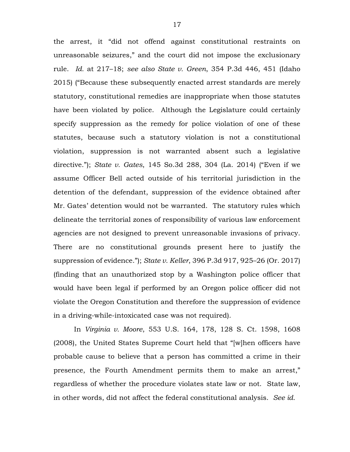the arrest, it "did not offend against constitutional restraints on unreasonable seizures," and the court did not impose the exclusionary rule. *Id.* at 217–18; *see also State v. Green*, 354 P.3d 446, 451 (Idaho 2015) ("Because these subsequently enacted arrest standards are merely statutory, constitutional remedies are inappropriate when those statutes have been violated by police. Although the Legislature could certainly specify suppression as the remedy for police violation of one of these statutes, because such a statutory violation is not a constitutional violation, suppression is not warranted absent such a legislative directive."); *State v. Gates*, 145 So.3d 288, 304 (La. 2014) ("Even if we assume Officer Bell acted outside of his territorial jurisdiction in the detention of the defendant, suppression of the evidence obtained after Mr. Gates' detention would not be warranted. The statutory rules which delineate the territorial zones of responsibility of various law enforcement agencies are not designed to prevent unreasonable invasions of privacy. There are no constitutional grounds present here to justify the suppression of evidence."); *State v. Keller*, 396 P.3d 917, 925–26 (Or. 2017) (finding that an unauthorized stop by a Washington police officer that would have been legal if performed by an Oregon police officer did not violate the Oregon Constitution and therefore the suppression of evidence in a driving-while-intoxicated case was not required).

In *Virginia v. Moore*, 553 U.S. 164, 178, 128 S. Ct. 1598, 1608 (2008), the United States Supreme Court held that "[w]hen officers have probable cause to believe that a person has committed a crime in their presence, the Fourth Amendment permits them to make an arrest," regardless of whether the procedure violates state law or not. State law, in other words, did not affect the federal constitutional analysis. *See id.*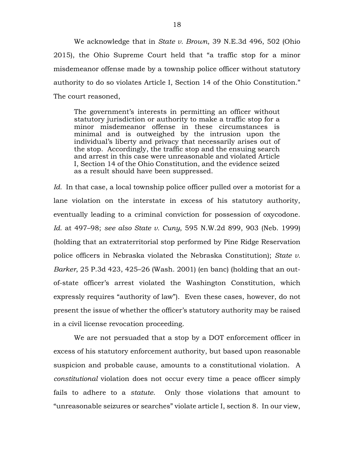We acknowledge that in *State v. Brown*, 39 N.E.3d 496, 502 (Ohio 2015), the Ohio Supreme Court held that "a traffic stop for a minor misdemeanor offense made by a township police officer without statutory authority to do so violates [Article I, Section 14 of the Ohio Constitution.](https://1.next.westlaw.com/Link/Document/FullText?findType=L&pubNum=1000261&cite=OHCNARTIS14&originatingDoc=I1cb8fcd31b7f11e5a807ad48145ed9f1&refType=LQ&originationContext=document&transitionType=DocumentItem&contextData=(sc.Search))" The court reasoned,

The government's interests in permitting an officer without statutory jurisdiction or authority to make a traffic stop for a minor misdemeanor offense in these circumstances is minimal and is outweighed by the intrusion upon the individual's liberty and privacy that necessarily arises out of the stop. Accordingly, the traffic stop and the ensuing search and arrest in this case were unreasonable and violated [Article](https://1.next.westlaw.com/Link/Document/FullText?findType=L&pubNum=1000261&cite=OHCNARTIS14&originatingDoc=I1cb8fcd31b7f11e5a807ad48145ed9f1&refType=LQ&originationContext=document&transitionType=DocumentItem&contextData=(sc.Search))  [I, Section 14 of the Ohio Constitution,](https://1.next.westlaw.com/Link/Document/FullText?findType=L&pubNum=1000261&cite=OHCNARTIS14&originatingDoc=I1cb8fcd31b7f11e5a807ad48145ed9f1&refType=LQ&originationContext=document&transitionType=DocumentItem&contextData=(sc.Search)) and the evidence seized as a result should have been suppressed.

*Id.* In that case, a local township police officer pulled over a motorist for a lane violation on the interstate in excess of his statutory authority, eventually leading to a criminal conviction for possession of oxycodone. *Id.* at 497–98; *see also State v. Cuny*, 595 N.W.2d 899, 903 (Neb. 1999) (holding that an extraterritorial stop performed by Pine Ridge Reservation police officers in Nebraska violated the Nebraska Constitution); *State v. Barker*, 25 P.3d 423, 425–26 (Wash. 2001) (en banc) (holding that an outof-state officer's arrest violated the Washington Constitution, which expressly requires "authority of law"). Even these cases, however, do not present the issue of whether the officer's statutory authority may be raised in a civil license revocation proceeding.

We are not persuaded that a stop by a DOT enforcement officer in excess of his statutory enforcement authority, but based upon reasonable suspicion and probable cause, amounts to a constitutional violation. A *constitutional* violation does not occur every time a peace officer simply fails to adhere to a *statute*. Only those violations that amount to "unreasonable seizures or searches" violate article I, section 8. In our view,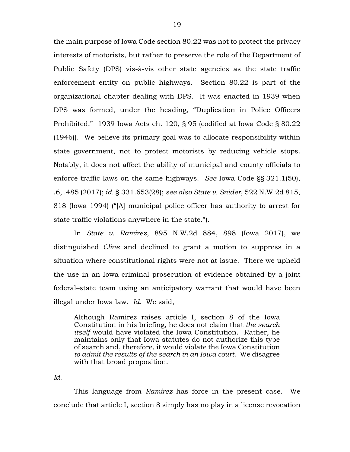the main purpose of Iowa Code section 80.22 was not to protect the privacy interests of motorists, but rather to preserve the role of the Department of Public Safety (DPS) vis-à-vis other state agencies as the state traffic enforcement entity on public highways. Section 80.22 is part of the organizational chapter dealing with DPS. It was enacted in 1939 when DPS was formed, under the heading, "Duplication in Police Officers Prohibited." 1939 Iowa Acts ch. 120, § 95 (codified at Iowa Code § 80.22 (1946)). We believe its primary goal was to allocate responsibility within state government, not to protect motorists by reducing vehicle stops. Notably, it does not affect the ability of municipal and county officials to enforce traffic laws on the same highways. *See* Iowa Code §§ 321.1(50), .6, .485 (2017); *id.* § 331.653(28); *see also State v. Snider*, 522 N.W.2d 815, 818 (Iowa 1994) ("[A] municipal police officer has authority to arrest for state traffic violations anywhere in the state.").

In *State v. Ramirez*, 895 N.W.2d 884, 898 (Iowa 2017), we distinguished *Cline* and declined to grant a motion to suppress in a situation where constitutional rights were not at issue. There we upheld the use in an Iowa criminal prosecution of evidence obtained by a joint federal–state team using an anticipatory warrant that would have been illegal under Iowa law. *Id.* We said,

Although Ramirez raises article I, section 8 [of the Iowa](https://1.next.westlaw.com/Link/Document/FullText?findType=L&pubNum=1000371&cite=IACNART1S8&originatingDoc=I255f8bc0421311e7bffecab88ce1f178&refType=LQ&originationContext=document&transitionType=DocumentItem&contextData=(sc.Search))  [Constitution](https://1.next.westlaw.com/Link/Document/FullText?findType=L&pubNum=1000371&cite=IACNART1S8&originatingDoc=I255f8bc0421311e7bffecab88ce1f178&refType=LQ&originationContext=document&transitionType=DocumentItem&contextData=(sc.Search)) in his briefing, he does not claim that *the search itself* would have violated the Iowa Constitution. Rather, he maintains only that Iowa statutes do not authorize this type of search and, therefore, it would violate the Iowa Constitution *to admit the results of the search in an Iowa court*. We disagree with that broad proposition.

*Id.*

This language from *Ramirez* has force in the present case. We conclude that article I, section 8 simply has no play in a license revocation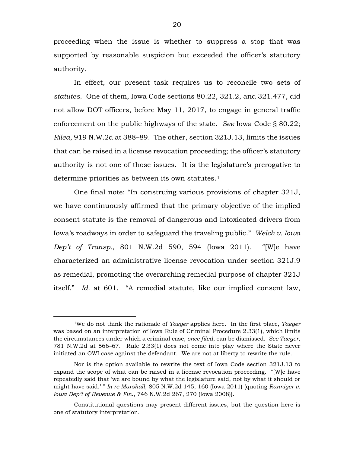proceeding when the issue is whether to suppress a stop that was supported by reasonable suspicion but exceeded the officer's statutory authority.

In effect, our present task requires us to reconcile two sets of *statutes*. One of them, Iowa Code sections 80.22, 321.2, and 321.477, did not allow DOT officers, before May 11, 2017, to engage in general traffic enforcement on the public highways of the state. *See* Iowa Code § 80.22; *Rilea*, 919 N.W.2d at 388–89. The other, section 321J.13, limits the issues that can be raised in a license revocation proceeding; the officer's statutory authority is not one of those issues. It is the legislature's prerogative to determine priorities as between its own statutes.<sup>[1](#page-19-0)</sup>

One final note: "In construing various provisions of chapter 321J, we have continuously affirmed that the primary objective of the implied consent statute is the removal of dangerous and intoxicated drivers from Iowa's roadways in order to safeguard the traveling public." *Welch v. Iowa Dep't of Transp.*, 801 N.W.2d 590, 594 (Iowa 2011). "[W]e have characterized an administrative license revocation under section 321J.9 as remedial, promoting the overarching remedial purpose of chapter 321J itself." *Id.* at 601. "A remedial statute, like our implied consent law,

<span id="page-19-0"></span> <sup>1</sup>We do not think the rationale of *Taeger* applies here. In the first place, *Taeger*  was based on an interpretation of Iowa Rule of Criminal Procedure 2.33(1), which limits the circumstances under which a criminal case, *once filed*, can be dismissed. *See Taeger*, 781 N.W.2d at 566–67. Rule 2.33(1) does not come into play where the State never initiated an OWI case against the defendant. We are not at liberty to rewrite the rule.

Nor is the option available to rewrite the text of Iowa Code section 321J.13 to expand the scope of what can be raised in a license revocation proceeding. "[W]e have repeatedly said that 'we are bound by what the legislature said, not by what it should or might have said.' " *In re Marshall*, 805 N.W.2d 145, 160 (Iowa 2011) (quoting *Ranniger v. Iowa Dep't of Revenue & Fin*., 746 N.W.2d 267, 270 (Iowa 2008)).

Constitutional questions may present different issues, but the question here is one of statutory interpretation.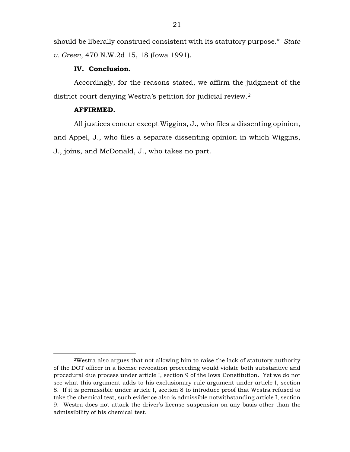should be liberally construed consistent with its statutory purpose." *State v. Green*, 470 N.W.2d 15, 18 (Iowa 1991).

### **IV. Conclusion.**

Accordingly, for the reasons stated, we affirm the judgment of the district court denying Westra's petition for judicial review.[2](#page-20-0)

## **AFFIRMED.**

All justices concur except Wiggins, J., who files a dissenting opinion, and Appel, J., who files a separate dissenting opinion in which Wiggins, J., joins, and McDonald, J., who takes no part.

<span id="page-20-0"></span> <sup>2</sup>Westra also argues that not allowing him to raise the lack of statutory authority of the DOT officer in a license revocation proceeding would violate both substantive and procedural due process under article I, section 9 of the Iowa Constitution. Yet we do not see what this argument adds to his exclusionary rule argument under article I, section 8. If it is permissible under article I, section 8 to introduce proof that Westra refused to take the chemical test, such evidence also is admissible notwithstanding article I, section 9. Westra does not attack the driver's license suspension on any basis other than the admissibility of his chemical test.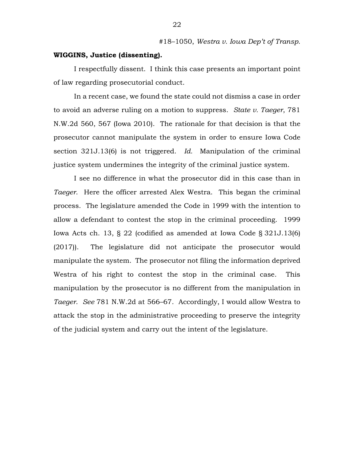## **WIGGINS, Justice (dissenting).**

I respectfully dissent. I think this case presents an important point of law regarding prosecutorial conduct.

In a recent case, we found the state could not dismiss a case in order to avoid an adverse ruling on a motion to suppress. *State v. Taeger*, 781 N.W.2d 560, 567 (Iowa 2010). The rationale for that decision is that the prosecutor cannot manipulate the system in order to ensure Iowa Code section 321J.13(6) is not triggered. *Id.* Manipulation of the criminal justice system undermines the integrity of the criminal justice system.

I see no difference in what the prosecutor did in this case than in *Taeger*. Here the officer arrested Alex Westra. This began the criminal process. The legislature amended the Code in 1999 with the intention to allow a defendant to contest the stop in the criminal proceeding. 1999 Iowa Acts ch. 13, § 22 (codified as amended at Iowa Code § 321J.13(6) (2017)). The legislature did not anticipate the prosecutor would manipulate the system. The prosecutor not filing the information deprived Westra of his right to contest the stop in the criminal case. This manipulation by the prosecutor is no different from the manipulation in *Taeger*. *See* 781 N.W.2d at 566–67. Accordingly, I would allow Westra to attack the stop in the administrative proceeding to preserve the integrity of the judicial system and carry out the intent of the legislature.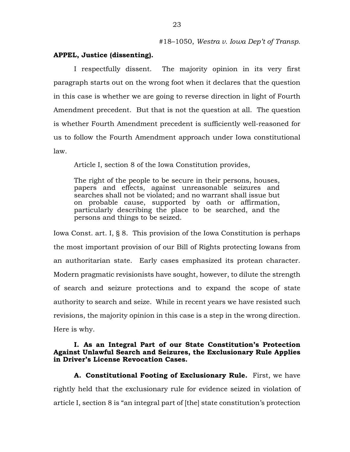# **APPEL, Justice (dissenting).**

I respectfully dissent. The majority opinion in its very first paragraph starts out on the wrong foot when it declares that the question in this case is whether we are going to reverse direction in light of Fourth Amendment precedent. But that is not the question at all. The question is whether Fourth Amendment precedent is sufficiently well-reasoned for us to follow the Fourth Amendment approach under Iowa constitutional law.

Article I, section 8 of the Iowa Constitution provides,

The right of the people to be secure in their persons, houses, papers and effects, against unreasonable seizures and searches shall not be violated; and no warrant shall issue but on probable cause, supported by oath or affirmation, particularly describing the place to be searched, and the persons and things to be seized.

Iowa Const. art. I, § 8. This provision of the Iowa Constitution is perhaps the most important provision of our Bill of Rights protecting Iowans from an authoritarian state. Early cases emphasized its protean character. Modern pragmatic revisionists have sought, however, to dilute the strength of search and seizure protections and to expand the scope of state authority to search and seize. While in recent years we have resisted such revisions, the majority opinion in this case is a step in the wrong direction. Here is why.

### **I. As an Integral Part of our State Constitution's Protection Against Unlawful Search and Seizures, the Exclusionary Rule Applies in Driver's License Revocation Cases.**

**A. Constitutional Footing of Exclusionary Rule.** First, we have rightly held that the exclusionary rule for evidence seized in violation of article I, section 8 is "an integral part of [the] state constitution's protection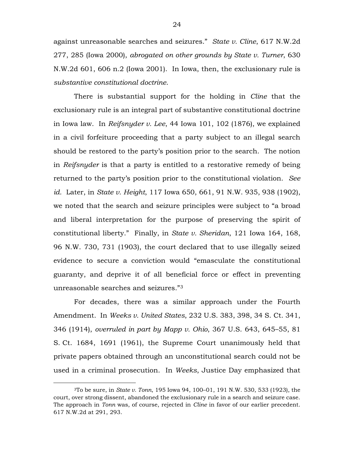against unreasonable searches and seizures." *State v. Cline*, 617 N.W.2d 277, 285 (Iowa 2000), *abrogated on other grounds by State v. Turner*, 630 N.W.2d 601, 606 n.2 (Iowa 2001). In Iowa, then, the exclusionary rule is *substantive constitutional doctrine*.

There is substantial support for the holding in *Cline* that the exclusionary rule is an integral part of substantive constitutional doctrine in Iowa law. In *Reifsnyder v. Lee*, 44 Iowa 101, 102 (1876), we explained in a civil forfeiture proceeding that a party subject to an illegal search should be restored to the party's position prior to the search. The notion in *Reifsnyder* is that a party is entitled to a restorative remedy of being returned to the party's position prior to the constitutional violation. *See id.* Later, in *State v. Height*, 117 Iowa 650, 661, 91 N.W. 935, 938 (1902), we noted that the search and seizure principles were subject to "a broad and liberal interpretation for the purpose of preserving the spirit of constitutional liberty." Finally, in *State v. Sheridan*, 121 Iowa 164, 168, 96 N.W. 730, 731 (1903), the court declared that to use illegally seized evidence to secure a conviction would "emasculate the constitutional guaranty, and deprive it of all beneficial force or effect in preventing unreasonable searches and seizures."[3](#page-23-0)

For decades, there was a similar approach under the Fourth Amendment. In *Weeks v. United States*, 232 U.S. 383, 398, 34 S. Ct. 341, 346 (1914), *overruled in part by Mapp v. Ohio*, 367 U.S. 643, 645–55, 81 S. Ct. 1684, 1691 (1961), the Supreme Court unanimously held that private papers obtained through an unconstitutional search could not be used in a criminal prosecution. In *Weeks*, Justice Day emphasized that

<span id="page-23-0"></span> <sup>3</sup>To be sure, in *State v. Tonn*, 195 Iowa 94, 100–01, 191 N.W. 530, 533 (1923), the court, over strong dissent, abandoned the exclusionary rule in a search and seizure case. The approach in *Tonn* was, of course, rejected in *Cline* in favor of our earlier precedent. 617 N.W.2d at 291, 293.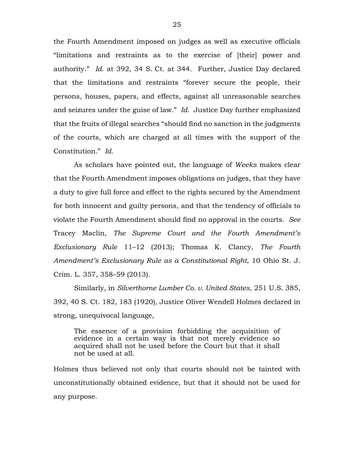the Fourth Amendment imposed on judges as well as executive officials "limitations and restraints as to the exercise of [their] power and authority." *Id.* at 392, 34 S. Ct. at 344. Further, Justice Day declared that the limitations and restraints "forever secure the people, their persons, houses, papers, and effects, against all unreasonable searches and seizures under the guise of law." *Id.* Justice Day further emphasized that the fruits of illegal searches "should find no sanction in the judgments of the courts, which are charged at all times with the support of the Constitution." *Id.*

As scholars have pointed out, the language of *Weeks* makes clear that the Fourth Amendment imposes obligations on judges, that they have a duty to give full force and effect to the rights secured by the Amendment for both innocent and guilty persons, and that the tendency of officials to violate the Fourth Amendment should find no approval in the courts. *See* Tracey Maclin, *The Supreme Court and the Fourth Amendment's Exclusionary Rule* 11–12 (2013); Thomas K. Clancy, *The Fourth Amendment's Exclusionary Rule as a Constitutional Right*, 10 Ohio St. J. Crim. L. 357, 358–59 (2013).

Similarly, in *Silverthorne Lumber Co. v. United States*, 251 U.S. 385, 392, 40 S. Ct. 182, 183 (1920), Justice Oliver Wendell Holmes declared in strong, unequivocal language,

The essence of a provision forbidding the acquisition of evidence in a certain way is that not merely evidence so acquired shall not be used before the Court but that it shall not be used at all.

Holmes thus believed not only that courts should not be tainted with unconstitutionally obtained evidence, but that it should not be used for any purpose.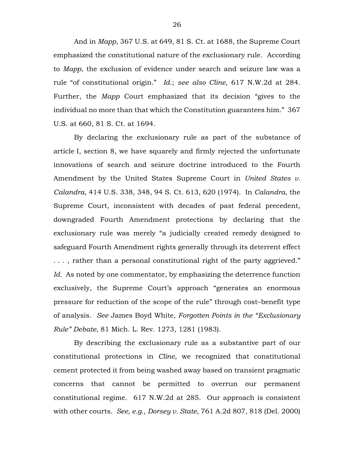And in *Mapp*, 367 U.S. at 649, 81 S. Ct. at 1688, the Supreme Court emphasized the constitutional nature of the exclusionary rule. According to *Mapp*, the exclusion of evidence under search and seizure law was a rule "of constitutional origin." *Id.*; *see also Cline*, 617 N.W.2d at 284. Further, the *Mapp* Court emphasized that its decision "gives to the individual no more than that which the Constitution guarantees him." 367 U.S. at 660, 81 S. Ct. at 1694.

By declaring the exclusionary rule as part of the substance of article I, section 8, we have squarely and firmly rejected the unfortunate innovations of search and seizure doctrine introduced to the Fourth Amendment by the United States Supreme Court in *United States v. Calandra*, 414 U.S. 338, 348, 94 S. Ct. 613, 620 (1974). In *Calandra*, the Supreme Court, inconsistent with decades of past federal precedent, downgraded Fourth Amendment protections by declaring that the exclusionary rule was merely "a judicially created remedy designed to safeguard Fourth Amendment rights generally through its deterrent effect . . . , rather than a personal constitutional right of the party aggrieved." *Id.* As noted by one commentator, by emphasizing the deterrence function exclusively, the Supreme Court's approach "generates an enormous pressure for reduction of the scope of the rule" through cost–benefit type of analysis. *See* James Boyd White, *Forgotten Points in the "Exclusionary Rule" Debate*, 81 Mich. L. Rev. 1273, 1281 (1983).

By describing the exclusionary rule as a substantive part of our constitutional protections in *Cline*, we recognized that constitutional cement protected it from being washed away based on transient pragmatic concerns that cannot be permitted to overrun our permanent constitutional regime. 617 N.W.2d at 285. Our approach is consistent with other courts. *See, e.g.*, *Dorsey v. State*, 761 A.2d 807, 818 (Del. 2000)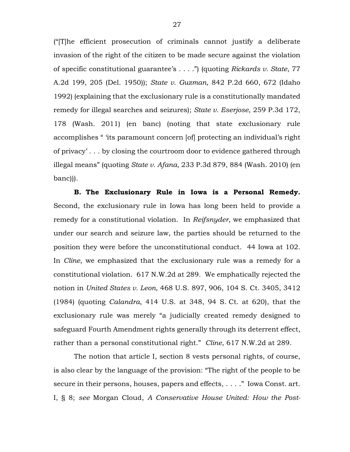("[T]he efficient prosecution of criminals cannot justify a deliberate invasion of the right of the citizen to be made secure against the violation of specific constitutional guarantee's . . . .") (quoting *Rickards v. State*, 77 A.2d 199, 205 (Del. 1950)); *State v. Guzman*, 842 P.2d 660, 672 (Idaho 1992) (explaining that the exclusionary rule is a constitutionally mandated remedy for illegal searches and seizures); *State v. Eserjose*, 259 P.3d 172, 178 (Wash. 2011) (en banc) (noting that state exclusionary rule accomplishes " 'its paramount concern [of] protecting an individual's right of privacy' . . . by closing the courtroom door to evidence gathered through illegal means" (quoting *State v. Afana*, 233 P.3d 879, 884 (Wash. 2010) (en banc))).

**B. The Exclusionary Rule in Iowa is a Personal Remedy.** Second, the exclusionary rule in Iowa has long been held to provide a remedy for a constitutional violation. In *Reifsnyder*, we emphasized that under our search and seizure law, the parties should be returned to the position they were before the unconstitutional conduct. 44 Iowa at 102. In *Cline*, we emphasized that the exclusionary rule was a remedy for a constitutional violation. 617 N.W.2d at 289. We emphatically rejected the notion in *United States v. Leon*, 468 U.S. 897, 906, 104 S. Ct. 3405, 3412 (1984) (quoting *Calandra*, 414 U.S. at 348, 94 S. Ct. at 620), that the exclusionary rule was merely "a judicially created remedy designed to safeguard Fourth Amendment rights generally through its deterrent effect, rather than a personal constitutional right." *Cline*, 617 N.W.2d at 289.

The notion that article I, section 8 vests personal rights, of course, is also clear by the language of the provision: "The right of the people to be secure in their persons, houses, papers and effects, . . . ." Iowa Const. art. I, § 8; *see* Morgan Cloud, *A Conservative House United: How the Post-*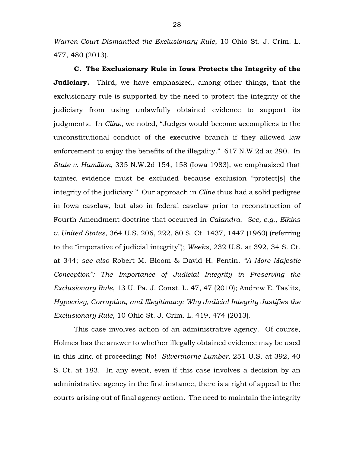*Warren Court Dismantled the Exclusionary Rule*, 10 Ohio St. J. Crim. L. 477, 480 (2013).

**C. The Exclusionary Rule in Iowa Protects the Integrity of the Judiciary.** Third, we have emphasized, among other things, that the exclusionary rule is supported by the need to protect the integrity of the judiciary from using unlawfully obtained evidence to support its judgments. In *Cline*, we noted, "Judges would become accomplices to the unconstitutional conduct of the executive branch if they allowed law enforcement to enjoy the benefits of the illegality." 617 N.W.2d at 290. In *State v. Hamilton*, 335 N.W.2d 154, 158 (Iowa 1983), we emphasized that tainted evidence must be excluded because exclusion "protect[s] the integrity of the judiciary." Our approach in *Cline* thus had a solid pedigree in Iowa caselaw, but also in federal caselaw prior to reconstruction of Fourth Amendment doctrine that occurred in *Calandra*. *See, e.g.*, *Elkins v. United States*, 364 U.S. 206, 222, 80 S. Ct. 1437, 1447 (1960) (referring to the "imperative of judicial integrity"); *Weeks*, 232 U.S. at 392, 34 S. Ct. at 344; *see also* Robert M. Bloom & David H. Fentin, *"A More Majestic Conception": The Importance of Judicial Integrity in Preserving the Exclusionary Rule*, 13 U. Pa. J. Const. L. 47, 47 (2010); Andrew E. Taslitz, *Hypocrisy, Corruption, and Illegitimacy: Why Judicial Integrity Justifies the Exclusionary Rule*, 10 Ohio St. J. Crim. L. 419, 474 (2013).

This case involves action of an administrative agency. Of course, Holmes has the answer to whether illegally obtained evidence may be used in this kind of proceeding: No! *Silverthorne Lumber*, 251 U.S. at 392, 40 S. Ct. at 183. In any event, even if this case involves a decision by an administrative agency in the first instance, there is a right of appeal to the courts arising out of final agency action. The need to maintain the integrity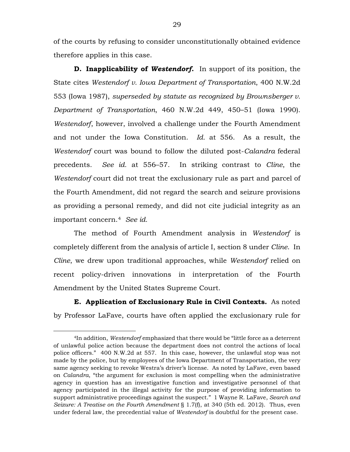of the courts by refusing to consider unconstitutionally obtained evidence therefore applies in this case.

**D. Inapplicability of** *Westendorf***.** In support of its position, the State cites *Westendorf v. Iowa Department of Transportation*, 400 N.W.2d 553 (Iowa 1987), *superseded by statute as recognized by Brownsberger v. Department of Transportation*, 460 N.W.2d 449, 450–51 (Iowa 1990). *Westendorf*, however, involved a challenge under the Fourth Amendment and not under the Iowa Constitution. *Id.* at 556. As a result, the *Westendorf* court was bound to follow the diluted post-*Calandra* federal precedents. *See id.* at 556–57. In striking contrast to *Cline*, the *Westendorf* court did not treat the exclusionary rule as part and parcel of the Fourth Amendment, did not regard the search and seizure provisions as providing a personal remedy, and did not cite judicial integrity as an important concern.[4](#page-28-0) *See id.*

The method of Fourth Amendment analysis in *Westendorf* is completely different from the analysis of article I, section 8 under *Cline*. In *Cline*, we drew upon traditional approaches, while *Westendorf* relied on recent policy-driven innovations in interpretation of the Fourth Amendment by the United States Supreme Court.

**E. Application of Exclusionary Rule in Civil Contexts.** As noted by Professor LaFave, courts have often applied the exclusionary rule for

<span id="page-28-0"></span> <sup>4</sup>In addition, *Westendorf* emphasized that there would be "little force as a deterrent of unlawful police action because the department does not control the actions of local police officers." 400 N.W.2d at 557. In this case, however, the unlawful stop was not made by the police, but by employees of the Iowa Department of Transportation, the very same agency seeking to revoke Westra's driver's license. As noted by LaFave, even based on *Calandra*, "the argument for exclusion is most compelling when the administrative agency in question has an investigative function and investigative personnel of that agency participated in the illegal activity for the purpose of providing information to support administrative proceedings against the suspect." 1 Wayne R. LaFave, *Search and Seizure: A Treatise on the Fourth Amendment* § 1.7(f), at 340 (5th ed. 2012). Thus, even under federal law, the precedential value of *Westendorf* is doubtful for the present case.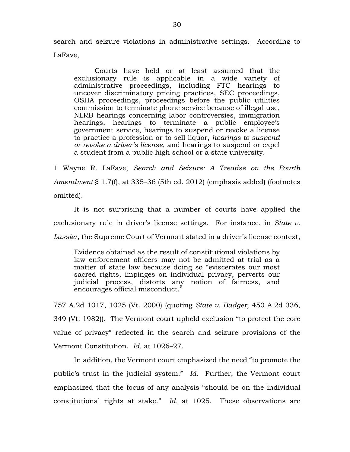search and seizure violations in administrative settings. According to LaFave,

Courts have held or at least assumed that the exclusionary rule is applicable in a wide variety of administrative proceedings, including FTC hearings to uncover discriminatory pricing practices, SEC proceedings, OSHA proceedings, proceedings before the public utilities commission to terminate phone service because of illegal use, NLRB hearings concerning labor controversies, immigration hearings, hearings to terminate a public employee's government service, hearings to suspend or revoke a license to practice a profession or to sell liquor, *hearings to suspend or revoke a driver's license*, and hearings to suspend or expel a student from a public high school or a state university.

1 Wayne R. LaFave, *Search and Seizure: A Treatise on the Fourth Amendment* § 1.7(f), at 335–36 (5th ed. 2012) (emphasis added) (footnotes omitted).

It is not surprising that a number of courts have applied the exclusionary rule in driver's license settings. For instance, in *State v. Lussier*, the Supreme Court of Vermont stated in a driver's license context,

Evidence obtained as the result of constitutional violations by law enforcement officers may not be admitted at trial as a matter of state law because doing so "eviscerates our most sacred rights, impinges on individual privacy, perverts our judicial process, distorts any notion of fairness, and encourages official misconduct."

757 A.2d 1017, 1025 (Vt. 2000) (quoting *State v. Badger*, 450 A.2d 336, 349 (Vt. 1982)). The Vermont court upheld exclusion "to protect the core value of privacy" reflected in the search and seizure provisions of the Vermont Constitution. *Id.* at 1026–27.

In addition, the Vermont court emphasized the need "to promote the public's trust in the judicial system." *Id.* Further, the Vermont court emphasized that the focus of any analysis "should be on the individual constitutional rights at stake." *Id.* at 1025. These observations are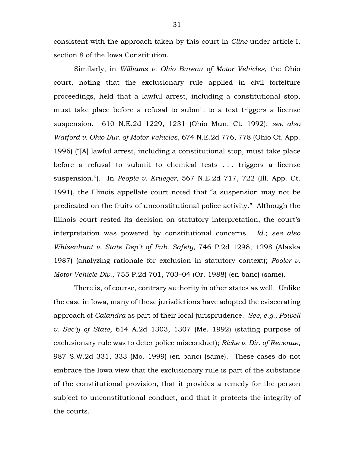consistent with the approach taken by this court in *Cline* under article I, section 8 of the Iowa Constitution.

Similarly, in *Williams v. Ohio Bureau of Motor Vehicles*, the Ohio court, noting that the exclusionary rule applied in civil forfeiture proceedings, held that a lawful arrest, including a constitutional stop, must take place before a refusal to submit to a test triggers a license suspension. 610 N.E.2d 1229, 1231 (Ohio Mun. Ct. 1992); *see also Watford v. Ohio Bur. of Motor Vehicles*, 674 N.E.2d 776, 778 (Ohio Ct. App. 1996) ("[A] lawful arrest, including a constitutional stop, must take place before a refusal to submit to chemical tests . . . triggers a license suspension."). In *People v. Krueger*, 567 N.E.2d 717, 722 (Ill. App. Ct. 1991), the Illinois appellate court noted that "a suspension may not be predicated on the fruits of unconstitutional police activity." Although the Illinois court rested its decision on statutory interpretation, the court's interpretation was powered by constitutional concerns. *Id.*; *see also Whisenhunt v. State Dep't of Pub. Safety*, 746 P.2d 1298, 1298 (Alaska 1987) (analyzing rationale for exclusion in statutory context); *Pooler v. Motor Vehicle Div.*, 755 P.2d 701, 703–04 (Or. 1988) (en banc) (same).

There is, of course, contrary authority in other states as well. Unlike the case in Iowa, many of these jurisdictions have adopted the eviscerating approach of *Calandra* as part of their local jurisprudence. *See, e.g.*, *Powell v. Sec'y of State*, 614 A.2d 1303, 1307 (Me. 1992) (stating purpose of exclusionary rule was to deter police misconduct); *Riche v. Dir. of Revenue*, 987 S.W.2d 331, 333 (Mo. 1999) (en banc) (same). These cases do not embrace the Iowa view that the exclusionary rule is part of the substance of the constitutional provision, that it provides a remedy for the person subject to unconstitutional conduct, and that it protects the integrity of the courts.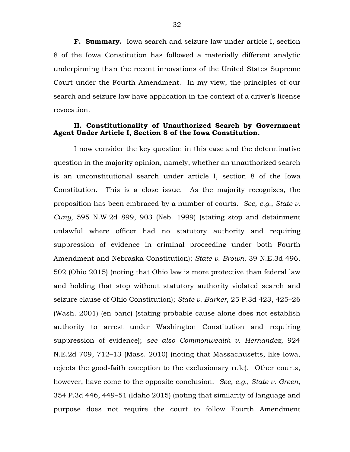**F. Summary.** Iowa search and seizure law under article I, section 8 of the Iowa Constitution has followed a materially different analytic underpinning than the recent innovations of the United States Supreme Court under the Fourth Amendment. In my view, the principles of our search and seizure law have application in the context of a driver's license revocation.

# **II. Constitutionality of Unauthorized Search by Government Agent Under Article I, Section 8 of the Iowa Constitution.**

I now consider the key question in this case and the determinative question in the majority opinion, namely, whether an unauthorized search is an unconstitutional search under article I, section 8 of the Iowa Constitution. This is a close issue. As the majority recognizes, the proposition has been embraced by a number of courts. *See, e.g.*, *State v. Cuny*, 595 N.W.2d 899, 903 (Neb. 1999) (stating stop and detainment unlawful where officer had no statutory authority and requiring suppression of evidence in criminal proceeding under both Fourth Amendment and Nebraska Constitution); *State v. Brown*, 39 N.E.3d 496, 502 (Ohio 2015) (noting that Ohio law is more protective than federal law and holding that stop without statutory authority violated search and seizure clause of Ohio Constitution); *State v. Barker*, 25 P.3d 423, 425–26 (Wash. 2001) (en banc) (stating probable cause alone does not establish authority to arrest under Washington Constitution and requiring suppression of evidence); *see also Commonwealth v. Hernandez*, 924 N.E.2d 709, 712–13 (Mass. 2010) (noting that Massachusetts, like Iowa, rejects the good-faith exception to the exclusionary rule). Other courts, however, have come to the opposite conclusion. *See, e.g.*, *State v. Green*, 354 P.3d 446, 449–51 (Idaho 2015) (noting that similarity of language and purpose does not require the court to follow Fourth Amendment